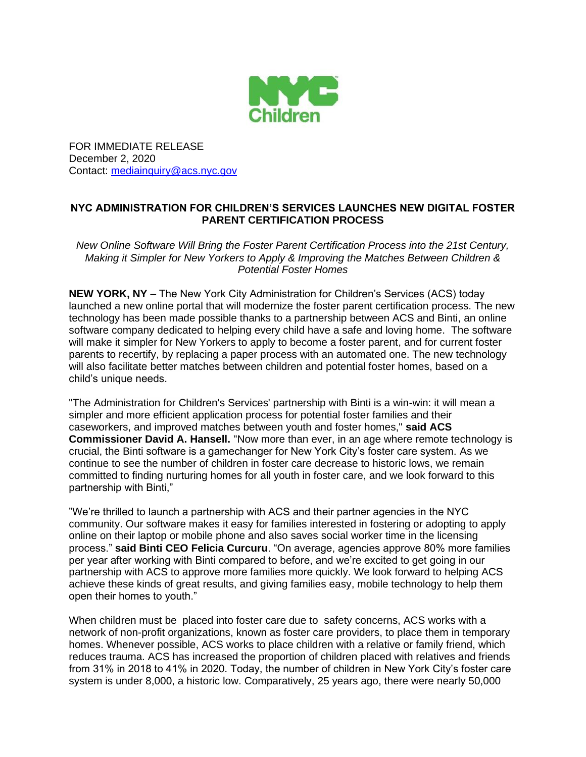

FOR IMMEDIATE RELEASE December 2, 2020 Contact: [mediainquiry@acs.nyc.gov](mailto:mediainquiry@acs.nyc.gov)

## **NYC ADMINISTRATION FOR CHILDREN'S SERVICES LAUNCHES NEW DIGITAL FOSTER PARENT CERTIFICATION PROCESS**

*New Online Software Will Bring the Foster Parent Certification Process into the 21st Century, Making it Simpler for New Yorkers to Apply & Improving the Matches Between Children & Potential Foster Homes*

**NEW YORK, NY** – The New York City Administration for Children's Services (ACS) today launched a new online portal that will modernize the foster parent certification process. The new technology has been made possible thanks to a partnership between ACS and Binti, an online software company dedicated to helping every child have a safe and loving home. The software will make it simpler for New Yorkers to apply to become a foster parent, and for current foster parents to recertify, by replacing a paper process with an automated one. The new technology will also facilitate better matches between children and potential foster homes, based on a child's unique needs.

"The Administration for Children's Services' partnership with Binti is a win-win: it will mean a simpler and more efficient application process for potential foster families and their caseworkers, and improved matches between youth and foster homes," **said ACS Commissioner David A. Hansell.** "Now more than ever, in an age where remote technology is crucial, the Binti software is a gamechanger for New York City's foster care system. As we continue to see the number of children in foster care decrease to historic lows, we remain committed to finding nurturing homes for all youth in foster care, and we look forward to this partnership with Binti,"

"We're thrilled to launch a partnership with ACS and their partner agencies in the NYC community. Our software makes it easy for families interested in fostering or adopting to apply online on their laptop or mobile phone and also saves social worker time in the licensing process." **said Binti CEO Felicia Curcuru**. "On average, agencies approve 80% more families per year after working with Binti compared to before, and we're excited to get going in our partnership with ACS to approve more families more quickly. We look forward to helping ACS achieve these kinds of great results, and giving families easy, mobile technology to help them open their homes to youth."

When children must be placed into foster care due to safety concerns, ACS works with a network of non-profit organizations, known as foster care providers, to place them in temporary homes. Whenever possible, ACS works to place children with a relative or family friend, which reduces trauma. ACS has increased the proportion of children placed with relatives and friends from 31% in 2018 to 41% in 2020. Today, the number of children in New York City's foster care system is under 8,000, a historic low. Comparatively, 25 years ago, there were nearly 50,000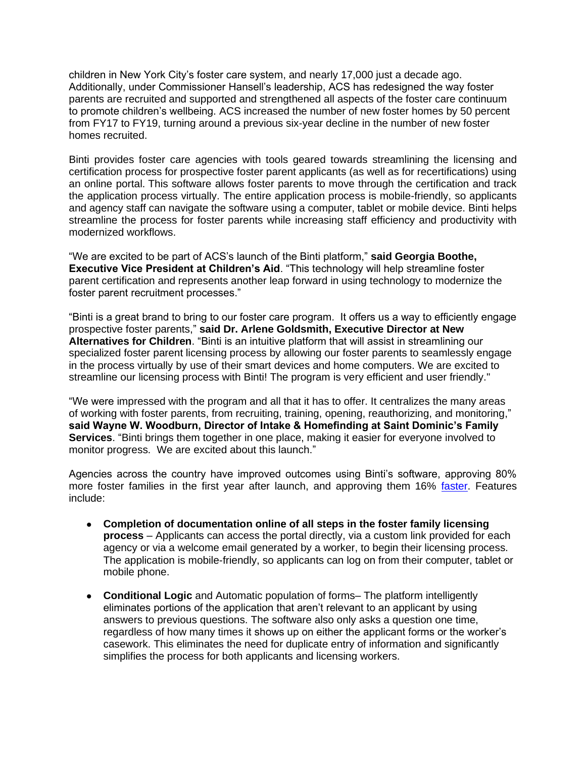children in New York City's foster care system, and nearly 17,000 just a decade ago. Additionally, under Commissioner Hansell's leadership, ACS has redesigned the way foster parents are recruited and supported and strengthened all aspects of the foster care continuum to promote children's wellbeing. ACS increased the number of new foster homes by 50 percent from FY17 to FY19, turning around a previous six-year decline in the number of new foster homes recruited.

Binti provides foster care agencies with tools geared towards streamlining the licensing and certification process for prospective foster parent applicants (as well as for recertifications) using an online portal. This software allows foster parents to move through the certification and track the application process virtually. The entire application process is mobile-friendly, so applicants and agency staff can navigate the software using a computer, tablet or mobile device. Binti helps streamline the process for foster parents while increasing staff efficiency and productivity with modernized workflows.

"We are excited to be part of ACS's launch of the Binti platform," **said Georgia Boothe, Executive Vice President at Children's Aid**. "This technology will help streamline foster parent certification and represents another leap forward in using technology to modernize the foster parent recruitment processes."

"Binti is a great brand to bring to our foster care program. It offers us a way to efficiently engage prospective foster parents," **said Dr. Arlene Goldsmith, Executive Director at New Alternatives for Children**. "Binti is an intuitive platform that will assist in streamlining our specialized foster parent licensing process by allowing our foster parents to seamlessly engage in the process virtually by use of their smart devices and home computers. We are excited to streamline our licensing process with Binti! The program is very efficient and user friendly."

"We were impressed with the program and all that it has to offer. It centralizes the many areas of working with foster parents, from recruiting, training, opening, reauthorizing, and monitoring," **said Wayne W. Woodburn, Director of Intake & Homefinding at Saint Dominic's Family Services**. "Binti brings them together in one place, making it easier for everyone involved to monitor progress. We are excited about this launch."

Agencies across the country have improved outcomes using Binti's software, approving 80% more foster families in the first year after launch, and approving them 16% [faster.](https://binti.com/) Features include:

- **Completion of documentation online of all steps in the foster family licensing process** – Applicants can access the portal directly, via a custom link provided for each agency or via a welcome email generated by a worker, to begin their licensing process. The application is mobile-friendly, so applicants can log on from their computer, tablet or mobile phone.
- **Conditional Logic** and Automatic population of forms– The platform intelligently eliminates portions of the application that aren't relevant to an applicant by using answers to previous questions. The software also only asks a question one time, regardless of how many times it shows up on either the applicant forms or the worker's casework. This eliminates the need for duplicate entry of information and significantly simplifies the process for both applicants and licensing workers.